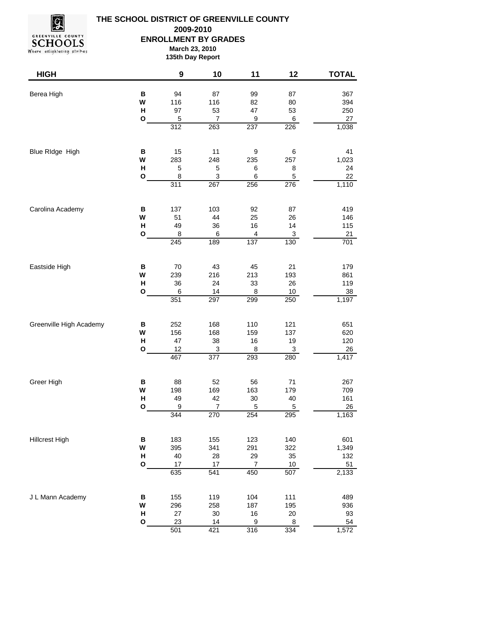

## **THE SCHOOL DISTRICT OF GREENVILLE COUNTY ENROLLMENT BY GRADES March 23, 2010 135th Day Report 2009-2010**

| <b>HIGH</b>             |                   | 9                  | 10                        | 11          | 12          | <b>TOTAL</b> |
|-------------------------|-------------------|--------------------|---------------------------|-------------|-------------|--------------|
| Berea High              | $\, {\bf B}$<br>W | 94<br>116          | 87<br>116                 | 99<br>82    | 87<br>80    | 367<br>394   |
|                         | н<br>$\mathbf{o}$ | 97<br>5            | 53<br>7                   | 47<br>9     | 53<br>6     | 250<br>27    |
|                         |                   | 312                | 263                       | 237         | 226         | 1,038        |
| Blue RIdge High         | B                 | 15                 | 11                        | 9           | 6           | 41           |
|                         | W<br>H            | 283<br>$\mathbf 5$ | 248<br>5                  | 235<br>6    | 257<br>8    | 1,023<br>24  |
|                         | O                 | $\bf8$             | $\ensuremath{\mathsf{3}}$ | 6           | 5           | 22           |
|                         |                   | 311                | 267                       | 256         | 276         | 1,110        |
| Carolina Academy        | В                 | 137                | 103                       | 92          | 87          | 419          |
|                         | W<br>н            | 51<br>49           | 44<br>36                  | 25<br>16    | 26<br>14    | 146<br>115   |
|                         | O                 | 8                  | 6                         | 4           | 3           | 21           |
|                         |                   | 245                | 189                       | 137         | 130         | 701          |
| Eastside High           | $\, {\bf B}$      | 70                 | 43                        | 45          | 21          | 179          |
|                         | W<br>н            | 239<br>36          | 216<br>24                 | 213<br>33   | 193<br>26   | 861<br>119   |
|                         | O                 | 6                  | 14                        | 8           | $10$        | 38           |
|                         |                   | 351                | 297                       | 299         | 250         | 1,197        |
| Greenville High Academy | В                 | 252                | 168                       | 110         | 121         | 651          |
|                         | W<br>н            | 156<br>47          | 168<br>38                 | 159<br>16   | 137<br>19   | 620<br>120   |
|                         | O                 | 12                 | 3                         | 8           | 3           | 26           |
|                         |                   | 467                | 377                       | 293         | 280         | 1,417        |
| Greer High              | B                 | 88                 | 52                        | 56          | 71          | 267          |
|                         | W<br>H            | 198<br>49          | 169<br>42                 | 163<br>30   | 179<br>40   | 709<br>161   |
|                         | $\mathbf{o}$      | $\boldsymbol{9}$   | $\boldsymbol{7}$          | $\mathbf 5$ | $\,$ 5 $\,$ | 26           |
|                         |                   | 344                | 270                       | 254         | 295         | 1,163        |
| <b>Hillcrest High</b>   | $\, {\bf B}$      | 183                | 155                       | 123         | 140         | 601          |
|                         | W<br>н            | 395                | 341                       | 291<br>29   | 322         | 1,349        |
|                         | O                 | 40<br>17           | 28<br>17                  | 7           | 35<br>$10$  | 132<br>51    |
|                         |                   | 635                | 541                       | 450         | 507         | 2,133        |
| J L Mann Academy        | В                 | 155                | 119                       | 104         | 111         | 489          |
|                         | W<br>н            | 296                | 258                       | 187         | 195         | 936          |
|                         | O                 | 27<br>23           | $30\,$<br>14              | 16<br>9     | $20\,$<br>8 | 93<br>54     |
|                         |                   | 501                | 421                       | 316         | 334         | 1,572        |